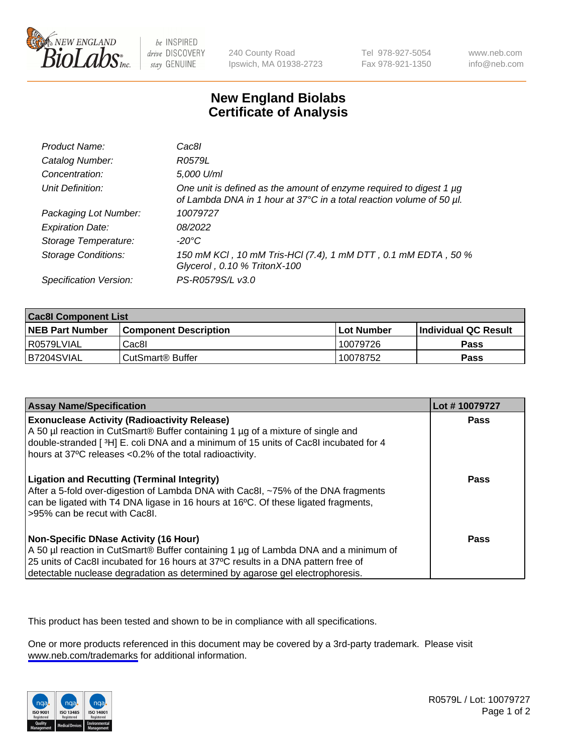

be INSPIRED drive DISCOVERY stay GENUINE

240 County Road Ipswich, MA 01938-2723 Tel 978-927-5054 Fax 978-921-1350

www.neb.com info@neb.com

## **New England Biolabs Certificate of Analysis**

| Product Name:              | Cac8l                                                                                                                                       |
|----------------------------|---------------------------------------------------------------------------------------------------------------------------------------------|
| Catalog Number:            | R0579L                                                                                                                                      |
| Concentration:             | 5,000 U/ml                                                                                                                                  |
| Unit Definition:           | One unit is defined as the amount of enzyme required to digest 1 µg<br>of Lambda DNA in 1 hour at 37°C in a total reaction volume of 50 µl. |
| Packaging Lot Number:      | 10079727                                                                                                                                    |
| <b>Expiration Date:</b>    | 08/2022                                                                                                                                     |
| Storage Temperature:       | -20°C                                                                                                                                       |
| <b>Storage Conditions:</b> | 150 mM KCI, 10 mM Tris-HCI (7.4), 1 mM DTT, 0.1 mM EDTA, 50 %<br>Glycerol, 0.10 % TritonX-100                                               |
| Specification Version:     | PS-R0579S/L v3.0                                                                                                                            |

| <b>Cac8I Component List</b> |                         |             |                             |  |
|-----------------------------|-------------------------|-------------|-----------------------------|--|
| <b>NEB Part Number</b>      | l Component Description | ⊺Lot Number | <b>Individual QC Result</b> |  |
| I R0579LVIAL                | Cac8I                   | 10079726    | Pass                        |  |
| B7204SVIAL                  | l CutSmart® Buffer      | 10078752    | Pass                        |  |

| <b>Assay Name/Specification</b>                                                                                                                                                                                                                                                                           | Lot #10079727 |
|-----------------------------------------------------------------------------------------------------------------------------------------------------------------------------------------------------------------------------------------------------------------------------------------------------------|---------------|
| <b>Exonuclease Activity (Radioactivity Release)</b><br>A 50 µl reaction in CutSmart® Buffer containing 1 µg of a mixture of single and<br>double-stranded [3H] E. coli DNA and a minimum of 15 units of Cac8I incubated for 4<br>hours at 37°C releases <0.2% of the total radioactivity.                 | Pass          |
| <b>Ligation and Recutting (Terminal Integrity)</b><br>After a 5-fold over-digestion of Lambda DNA with Cac8I, ~75% of the DNA fragments<br>can be ligated with T4 DNA ligase in 16 hours at 16°C. Of these ligated fragments,<br>>95% can be recut with Cac8I.                                            | <b>Pass</b>   |
| <b>Non-Specific DNase Activity (16 Hour)</b><br>A 50 µl reaction in CutSmart® Buffer containing 1 µg of Lambda DNA and a minimum of<br>25 units of Cac8I incubated for 16 hours at 37°C results in a DNA pattern free of<br>detectable nuclease degradation as determined by agarose gel electrophoresis. | <b>Pass</b>   |

This product has been tested and shown to be in compliance with all specifications.

One or more products referenced in this document may be covered by a 3rd-party trademark. Please visit <www.neb.com/trademarks>for additional information.